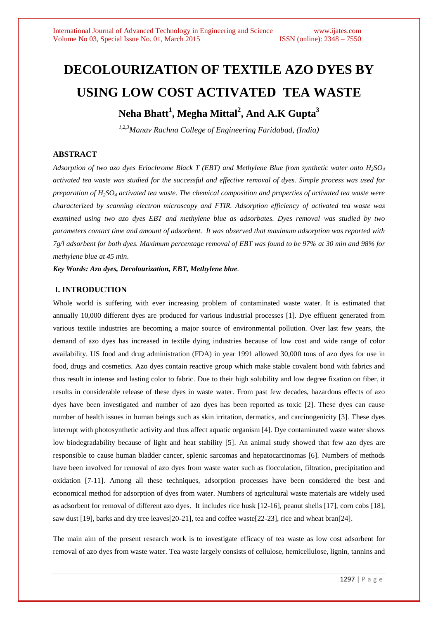# **DECOLOURIZATION OF TEXTILE AZO DYES BY USING LOW COST ACTIVATED TEA WASTE Neha Bhatt<sup>1</sup> , Megha Mittal<sup>2</sup> , And A.K Gupta<sup>3</sup>**

*1,2,3Manav Rachna College of Engineering Faridabad, (India)*

# **ABSTRACT**

*Adsorption of two azo dyes Eriochrome Black T (EBT) and Methylene Blue from synthetic water onto H2SO<sup>4</sup> activated tea waste was studied for the successful and effective removal of dyes. Simple process was used for preparation of H2SO<sup>4</sup> activated tea waste. The chemical composition and properties of activated tea waste were characterized by scanning electron microscopy and FTIR. Adsorption efficiency of activated tea waste was examined using two azo dyes EBT and methylene blue as adsorbates. Dyes removal was studied by two parameters contact time and amount of adsorbent. It was observed that maximum adsorption was reported with 7g/l adsorbent for both dyes. Maximum percentage removal of EBT was found to be 97% at 30 min and 98% for methylene blue at 45 min*.

*Key Words: Azo dyes, Decolourization, EBT, Methylene blue.*

## **I. INTRODUCTION**

Whole world is suffering with ever increasing problem of contaminated waste water. It is estimated that annually 10,000 different dyes are produced for various industrial processes [1]. Dye effluent generated from various textile industries are becoming a major source of environmental pollution. Over last few years, the demand of azo dyes has increased in textile dying industries because of low cost and wide range of color availability. US food and drug administration (FDA) in year 1991 allowed 30,000 tons of azo dyes for use in food, drugs and cosmetics. Azo dyes contain reactive group which make stable covalent bond with fabrics and thus result in intense and lasting color to fabric. Due to their high solubility and low degree fixation on fiber, it results in considerable release of these dyes in waste water. From past few decades, hazardous effects of azo dyes have been investigated and number of azo dyes has been reported as toxic [2]. These dyes can cause number of health issues in human beings such as skin irritation, dermatics, and carcinogenicity [3]. These dyes interrupt with photosynthetic activity and thus affect aquatic organism [4]. Dye contaminated waste water shows low biodegradability because of light and heat stability [5]. An animal study showed that few azo dyes are responsible to cause human bladder cancer, splenic sarcomas and hepatocarcinomas [6]. Numbers of methods have been involved for removal of azo dyes from waste water such as flocculation, filtration, precipitation and oxidation [7-11]. Among all these techniques, adsorption processes have been considered the best and economical method for adsorption of dyes from water. Numbers of agricultural waste materials are widely used as adsorbent for removal of different azo dyes. It includes rice husk [12-16], peanut shells [17], corn cobs [18], saw dust [19], barks and dry tree leaves[20-21], tea and coffee waste[22-23], rice and wheat bran[24].

The main aim of the present research work is to investigate efficacy of tea waste as low cost adsorbent for removal of azo dyes from waste water. Tea waste largely consists of cellulose, hemicellulose, lignin, tannins and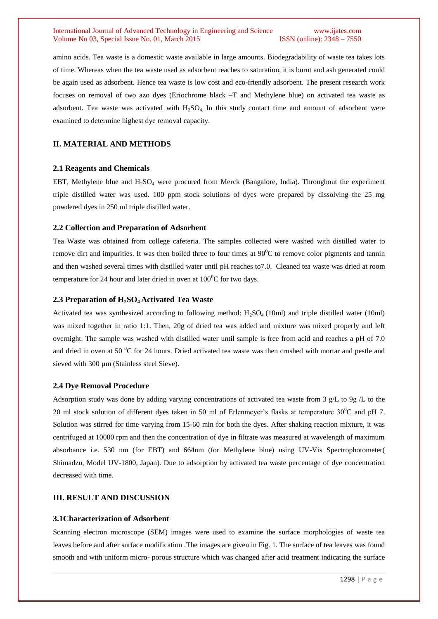#### International Journal of Advanced Technology in Engineering and Science www.ijates.com Volume No 03, Special Issue No. 01, March 2015 ISSN (online): 2348 – 7550

amino acids. Tea waste is a domestic waste available in large amounts. Biodegradability of waste tea takes lots of time. Whereas when the tea waste used as adsorbent reaches to saturation, it is burnt and ash generated could be again used as adsorbent. Hence tea waste is low cost and eco-friendly adsorbent. The present research work focuses on removal of two azo dyes (Eriochrome black –T and Methylene blue) on activated tea waste as adsorbent. Tea waste was activated with  $H_2SO_4$ . In this study contact time and amount of adsorbent were examined to determine highest dye removal capacity.

## **II. MATERIAL AND METHODS**

## **2.1 Reagents and Chemicals**

EBT, Methylene blue and  $H_2SO_4$  were procured from Merck (Bangalore, India). Throughout the experiment triple distilled water was used. 100 ppm stock solutions of dyes were prepared by dissolving the 25 mg powdered dyes in 250 ml triple distilled water.

## **2.2 Collection and Preparation of Adsorbent**

Tea Waste was obtained from college cafeteria. The samples collected were washed with distilled water to remove dirt and impurities. It was then boiled three to four times at 90<sup>0</sup>C to remove color pigments and tannin and then washed several times with distilled water until pH reaches to7.0. Cleaned tea waste was dried at room temperature for 24 hour and later dried in oven at  $100^{\circ}$ C for two days.

## **2.3 Preparation of H2SO4 Activated Tea Waste**

Activated tea was synthesized according to following method: H2SO4 (10ml) and triple distilled water (10ml) was mixed together in ratio 1:1. Then, 20g of dried tea was added and mixture was mixed properly and left overnight. The sample was washed with distilled water until sample is free from acid and reaches a pH of 7.0 and dried in oven at 50  $\rm{^0C}$  for 24 hours. Dried activated tea waste was then crushed with mortar and pestle and sieved with 300 µm (Stainless steel Sieve).

#### **2.4 Dye Removal Procedure**

Adsorption study was done by adding varying concentrations of activated tea waste from 3 g/L to 9g /L to the 20 ml stock solution of different dyes taken in 50 ml of Erlenmeyer's flasks at temperature  $30^{\circ}$ C and pH 7. Solution was stirred for time varying from 15-60 min for both the dyes. After shaking reaction mixture, it was centrifuged at 10000 rpm and then the concentration of dye in filtrate was measured at wavelength of maximum absorbance i.e. 530 nm (for EBT) and 664nm (for Methylene blue) using UV-Vis Spectrophotometer( Shimadzu, Model UV-1800, Japan). Due to adsorption by activated tea waste percentage of dye concentration decreased with time.

# **III. RESULT AND DISCUSSION**

## **3.1Characterization of Adsorbent**

Scanning electron microscope (SEM) images were used to examine the surface morphologies of waste tea leaves before and after surface modification .The images are given in Fig. 1. The surface of tea leaves was found smooth and with uniform micro- porous structure which was changed after acid treatment indicating the surface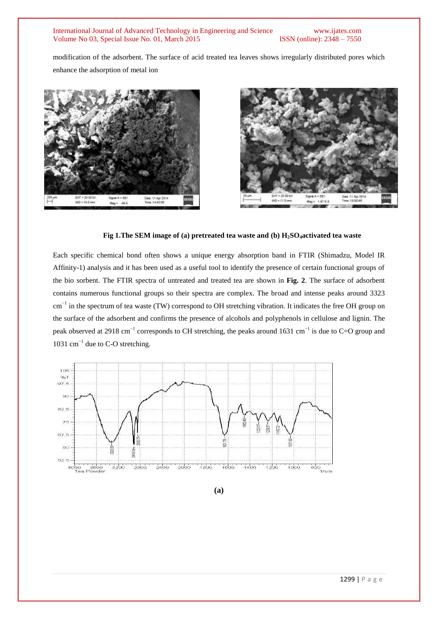#### International Journal of Advanced Technology in Engineering and Science www.ijates.com Volume No 03, Special Issue No. 01, March 2015 ISSN (online): 2348 – 7550

modification of the adsorbent. The surface of acid treated tea leaves shows irregularly distributed pores which enhance the adsorption of metal ion





#### **Fig 1.The SEM image of (a) pretreated tea waste and (b) H2SO4activated tea waste**

Each specific chemical bond often shows a unique energy absorption band in FTIR (Shimadzu, Model IR Affinity-1) analysis and it has been used as a useful tool to identify the presence of certain functional groups of the bio sorbent. The FTIR spectra of untreated and treated tea are shown in **Fig. 2**. The surface of adsorbent contains numerous functional groups so their spectra are complex. The broad and intense peaks around 3323 cm<sup>-1</sup> in the spectrum of tea waste (TW) correspond to OH stretching vibration. It indicates the free OH group on the surface of the adsorbent and confirms the presence of alcohols and polyphenols in cellulose and lignin. The peak observed at 2918 cm<sup>-1</sup> corresponds to CH stretching, the peaks around 1631 cm<sup>-1</sup> is due to C=O group and 1031 cm<sup> $-1$ </sup> due to C-O stretching.



**(a)**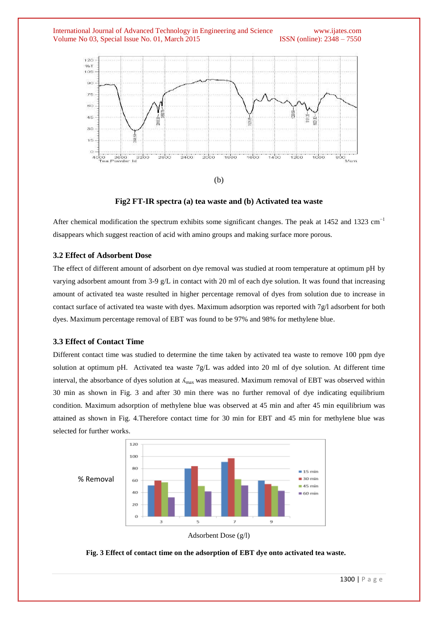



(b)

## **Fig2 FT-IR spectra (a) tea waste and (b) Activated tea waste**

After chemical modification the spectrum exhibits some significant changes. The peak at 1452 and 1323 cm<sup>-1</sup> disappears which suggest reaction of acid with amino groups and making surface more porous.

## **3.2 Effect of Adsorbent Dose**

The effect of different amount of adsorbent on dye removal was studied at room temperature at optimum pH by varying adsorbent amount from 3-9 g/L in contact with 20 ml of each dye solution. It was found that increasing amount of activated tea waste resulted in higher percentage removal of dyes from solution due to increase in contact surface of activated tea waste with dyes. Maximum adsorption was reported with 7g/l adsorbent for both dyes. Maximum percentage removal of EBT was found to be 97% and 98% for methylene blue.

# **3.3 Effect of Contact Time**

Different contact time was studied to determine the time taken by activated tea waste to remove 100 ppm dye solution at optimum pH. Activated tea waste 7g/L was added into 20 ml of dye solution. At different time interval, the absorbance of dyes solution at  $\Lambda_{\text{max}}$  was measured. Maximum removal of EBT was observed within 30 min as shown in Fig. 3 and after 30 min there was no further removal of dye indicating equilibrium condition. Maximum adsorption of methylene blue was observed at 45 min and after 45 min equilibrium was attained as shown in Fig. 4.Therefore contact time for 30 min for EBT and 45 min for methylene blue was selected for further works.





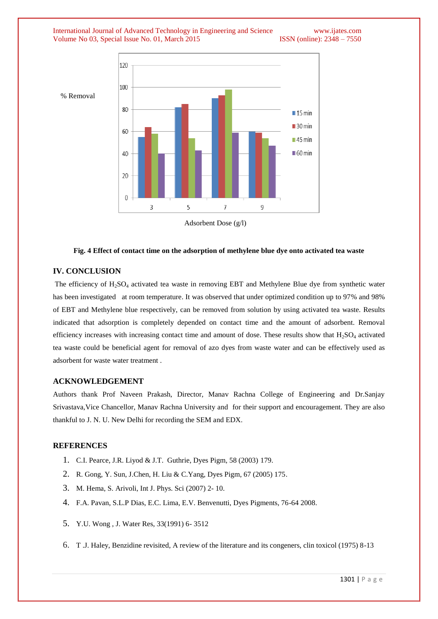International Journal of Advanced Technology in Engineering and Science www.ijates.com Volume No 03, Special Issue No. 01, March 2015 ISSN (online): 2348 – 7550



Adsorbent Dose (g/l)

#### **Fig. 4 Effect of contact time on the adsorption of methylene blue dye onto activated tea waste**

# **IV. CONCLUSION**

% Removal

The efficiency of  $H_2SO_4$  activated tea waste in removing EBT and Methylene Blue dye from synthetic water has been investigated at room temperature. It was observed that under optimized condition up to 97% and 98% of EBT and Methylene blue respectively, can be removed from solution by using activated tea waste. Results indicated that adsorption is completely depended on contact time and the amount of adsorbent. Removal efficiency increases with increasing contact time and amount of dose. These results show that  $H_2SO_4$  activated tea waste could be beneficial agent for removal of azo dyes from waste water and can be effectively used as adsorbent for waste water treatment .

## **ACKNOWLEDGEMENT**

Authors thank Prof Naveen Prakash, Director, Manav Rachna College of Engineering and Dr.Sanjay Srivastava,Vice Chancellor, Manav Rachna University and for their support and encouragement. They are also thankful to J. N. U. New Delhi for recording the SEM and EDX.

## **REFERENCES**

- 1. C.I. Pearce, J.R. Liyod & J.T. Guthrie, Dyes Pigm, 58 (2003) 179.
- 2. R. Gong, Y. Sun, J.Chen, H. Liu & C.Yang, Dyes Pigm, 67 (2005) 175.
- 3. M. Hema, S. Arivoli, Int J. Phys. Sci (2007) 2- 10.
- 4. F.A. Pavan, S.L.P Dias, E.C. Lima, E.V. Benvenutti, Dyes Pigments, 76-64 2008.
- 5. Y.U. Wong , J. Water Res, 33(1991) 6- 3512
- 6. T .J. Haley, Benzidine revisited, A review of the literature and its congeners, clin toxicol (1975) 8-13